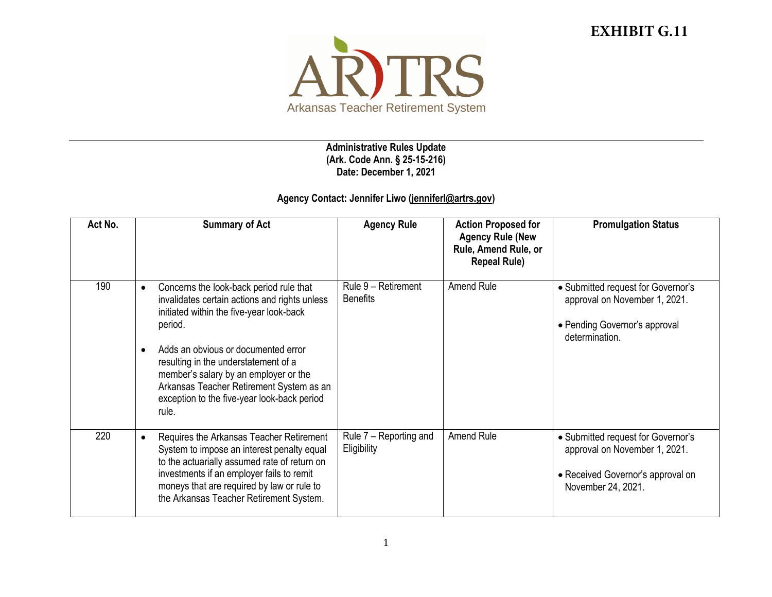## **EXHIBIT G.11**



**Administrative Rules Update (Ark. Code Ann. § 25-15-216) Date: December 1, 2021**

## **Agency Contact: Jennifer Liwo [\(jenniferl@artrs.gov\)](mailto:jenniferl@artrs.gov)**

| Act No. | <b>Summary of Act</b>                                                                                                                                                                                                                                                                                                                                                                                 | <b>Agency Rule</b>                     | <b>Action Proposed for</b><br><b>Agency Rule (New</b><br>Rule, Amend Rule, or<br><b>Repeal Rule)</b> | <b>Promulgation Status</b>                                                                                                     |
|---------|-------------------------------------------------------------------------------------------------------------------------------------------------------------------------------------------------------------------------------------------------------------------------------------------------------------------------------------------------------------------------------------------------------|----------------------------------------|------------------------------------------------------------------------------------------------------|--------------------------------------------------------------------------------------------------------------------------------|
| 190     | Concerns the look-back period rule that<br>$\bullet$<br>invalidates certain actions and rights unless<br>initiated within the five-year look-back<br>period.<br>Adds an obvious or documented error<br>$\bullet$<br>resulting in the understatement of a<br>member's salary by an employer or the<br>Arkansas Teacher Retirement System as an<br>exception to the five-year look-back period<br>rule. | Rule 9 - Retirement<br><b>Benefits</b> | <b>Amend Rule</b>                                                                                    | • Submitted request for Governor's<br>approval on November 1, 2021.<br>• Pending Governor's approval<br>determination.         |
| 220     | Requires the Arkansas Teacher Retirement<br>$\bullet$<br>System to impose an interest penalty equal<br>to the actuarially assumed rate of return on<br>investments if an employer fails to remit<br>moneys that are required by law or rule to<br>the Arkansas Teacher Retirement System.                                                                                                             | Rule 7 - Reporting and<br>Eligibility  | Amend Rule                                                                                           | • Submitted request for Governor's<br>approval on November 1, 2021.<br>• Received Governor's approval on<br>November 24, 2021. |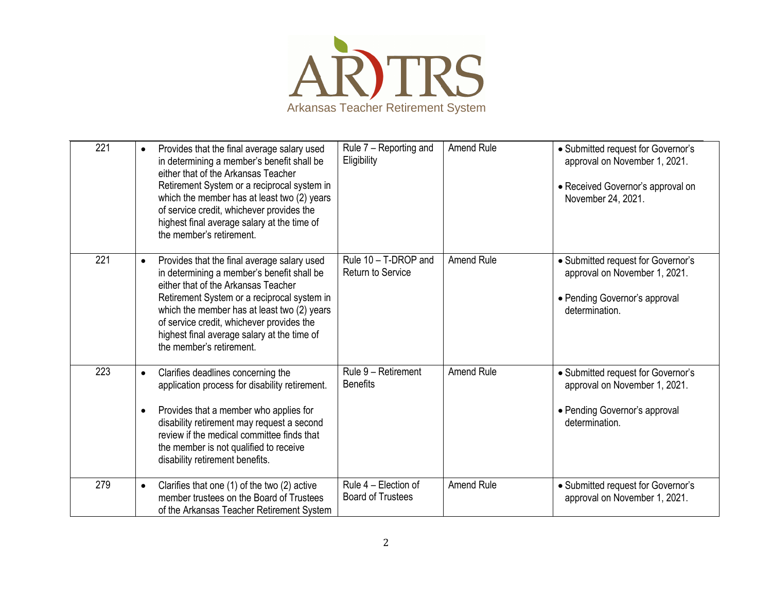

| 221 | Provides that the final average salary used<br>$\bullet$<br>in determining a member's benefit shall be<br>either that of the Arkansas Teacher<br>Retirement System or a reciprocal system in<br>which the member has at least two (2) years<br>of service credit, whichever provides the<br>highest final average salary at the time of<br>the member's retirement. | Rule 7 - Reporting and<br>Eligibility            | Amend Rule        | • Submitted request for Governor's<br>approval on November 1, 2021.<br>• Received Governor's approval on<br>November 24, 2021. |
|-----|---------------------------------------------------------------------------------------------------------------------------------------------------------------------------------------------------------------------------------------------------------------------------------------------------------------------------------------------------------------------|--------------------------------------------------|-------------------|--------------------------------------------------------------------------------------------------------------------------------|
| 221 | Provides that the final average salary used<br>$\bullet$<br>in determining a member's benefit shall be<br>either that of the Arkansas Teacher<br>Retirement System or a reciprocal system in<br>which the member has at least two (2) years<br>of service credit, whichever provides the<br>highest final average salary at the time of<br>the member's retirement. | Rule 10 - T-DROP and<br>Return to Service        | <b>Amend Rule</b> | • Submitted request for Governor's<br>approval on November 1, 2021.<br>• Pending Governor's approval<br>determination.         |
| 223 | Clarifies deadlines concerning the<br>$\bullet$<br>application process for disability retirement.<br>Provides that a member who applies for<br>$\bullet$<br>disability retirement may request a second<br>review if the medical committee finds that<br>the member is not qualified to receive<br>disability retirement benefits.                                   | Rule 9 - Retirement<br><b>Benefits</b>           | <b>Amend Rule</b> | • Submitted request for Governor's<br>approval on November 1, 2021.<br>• Pending Governor's approval<br>determination.         |
| 279 | Clarifies that one (1) of the two (2) active<br>$\bullet$<br>member trustees on the Board of Trustees<br>of the Arkansas Teacher Retirement System                                                                                                                                                                                                                  | Rule 4 – Election of<br><b>Board of Trustees</b> | <b>Amend Rule</b> | • Submitted request for Governor's<br>approval on November 1, 2021.                                                            |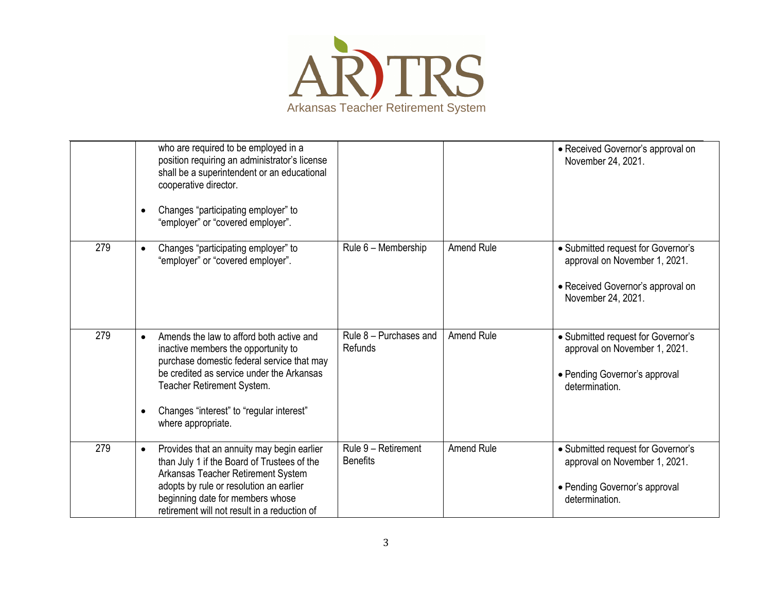

|     | who are required to be employed in a<br>position requiring an administrator's license<br>shall be a superintendent or an educational<br>cooperative director.<br>Changes "participating employer" to<br>$\bullet$<br>"employer" or "covered employer".                                               |                                        |                   | • Received Governor's approval on<br>November 24, 2021.                                                                        |
|-----|------------------------------------------------------------------------------------------------------------------------------------------------------------------------------------------------------------------------------------------------------------------------------------------------------|----------------------------------------|-------------------|--------------------------------------------------------------------------------------------------------------------------------|
| 279 | Changes "participating employer" to<br>$\bullet$<br>"employer" or "covered employer".                                                                                                                                                                                                                | Rule 6 - Membership                    | <b>Amend Rule</b> | • Submitted request for Governor's<br>approval on November 1, 2021.<br>• Received Governor's approval on<br>November 24, 2021. |
| 279 | Amends the law to afford both active and<br>$\bullet$<br>inactive members the opportunity to<br>purchase domestic federal service that may<br>be credited as service under the Arkansas<br>Teacher Retirement System.<br>Changes "interest" to "regular interest"<br>$\bullet$<br>where appropriate. | Rule 8 - Purchases and<br>Refunds      | Amend Rule        | • Submitted request for Governor's<br>approval on November 1, 2021.<br>• Pending Governor's approval<br>determination.         |
| 279 | Provides that an annuity may begin earlier<br>$\bullet$<br>than July 1 if the Board of Trustees of the<br>Arkansas Teacher Retirement System<br>adopts by rule or resolution an earlier<br>beginning date for members whose<br>retirement will not result in a reduction of                          | Rule 9 - Retirement<br><b>Benefits</b> | <b>Amend Rule</b> | • Submitted request for Governor's<br>approval on November 1, 2021.<br>• Pending Governor's approval<br>determination.         |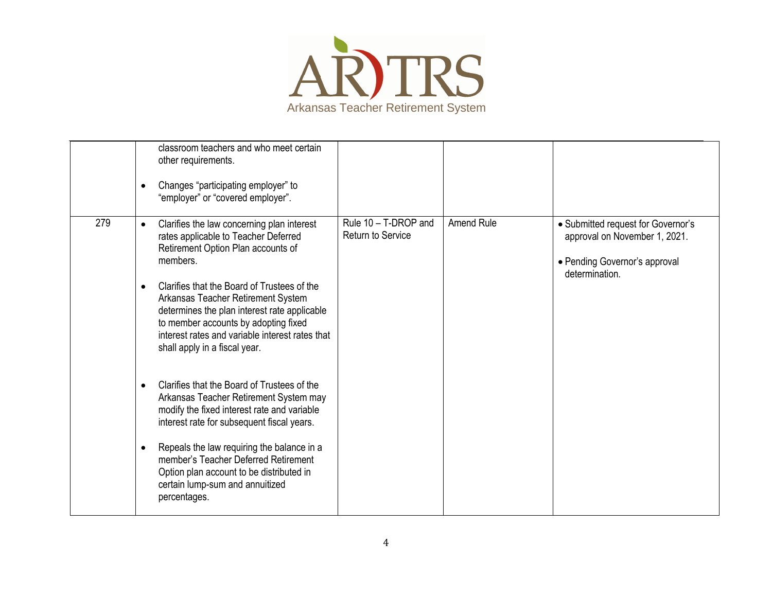

|     | classroom teachers and who meet certain<br>other requirements.<br>Changes "participating employer" to<br>$\bullet$<br>"employer" or "covered employer".                                                                                                                                                                                                                                                                                                                                                                                                                                                                                                                                                                                                                                                                              |                                           |                   |                                                                                                                        |
|-----|--------------------------------------------------------------------------------------------------------------------------------------------------------------------------------------------------------------------------------------------------------------------------------------------------------------------------------------------------------------------------------------------------------------------------------------------------------------------------------------------------------------------------------------------------------------------------------------------------------------------------------------------------------------------------------------------------------------------------------------------------------------------------------------------------------------------------------------|-------------------------------------------|-------------------|------------------------------------------------------------------------------------------------------------------------|
| 279 | Clarifies the law concerning plan interest<br>$\bullet$<br>rates applicable to Teacher Deferred<br>Retirement Option Plan accounts of<br>members.<br>Clarifies that the Board of Trustees of the<br>$\bullet$<br>Arkansas Teacher Retirement System<br>determines the plan interest rate applicable<br>to member accounts by adopting fixed<br>interest rates and variable interest rates that<br>shall apply in a fiscal year.<br>Clarifies that the Board of Trustees of the<br>$\bullet$<br>Arkansas Teacher Retirement System may<br>modify the fixed interest rate and variable<br>interest rate for subsequent fiscal years.<br>Repeals the law requiring the balance in a<br>$\bullet$<br>member's Teacher Deferred Retirement<br>Option plan account to be distributed in<br>certain lump-sum and annuitized<br>percentages. | Rule 10 - T-DROP and<br>Return to Service | <b>Amend Rule</b> | • Submitted request for Governor's<br>approval on November 1, 2021.<br>• Pending Governor's approval<br>determination. |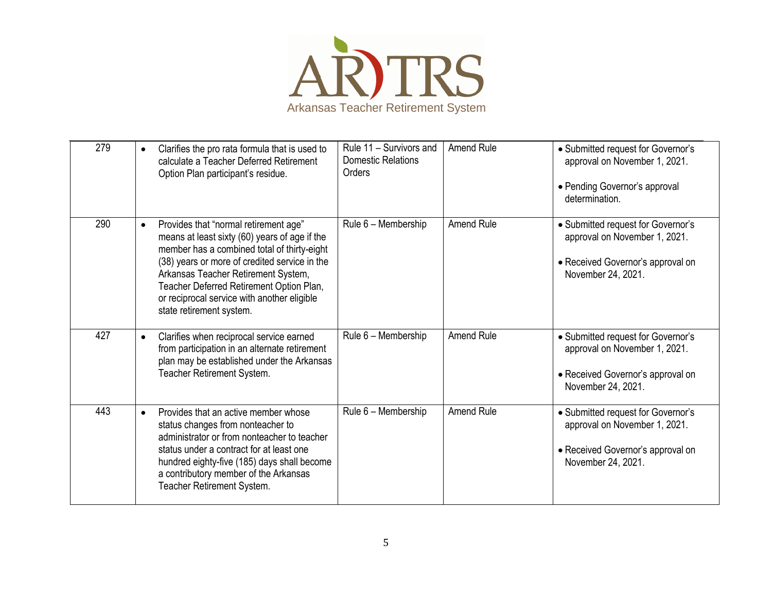

| 279 | Clarifies the pro rata formula that is used to<br>$\bullet$<br>calculate a Teacher Deferred Retirement<br>Option Plan participant's residue.                                                                                                                                                                                                                      | Rule 11 - Survivors and<br><b>Domestic Relations</b><br>Orders | <b>Amend Rule</b> | • Submitted request for Governor's<br>approval on November 1, 2021.<br>• Pending Governor's approval<br>determination.         |
|-----|-------------------------------------------------------------------------------------------------------------------------------------------------------------------------------------------------------------------------------------------------------------------------------------------------------------------------------------------------------------------|----------------------------------------------------------------|-------------------|--------------------------------------------------------------------------------------------------------------------------------|
| 290 | Provides that "normal retirement age"<br>$\bullet$<br>means at least sixty (60) years of age if the<br>member has a combined total of thirty-eight<br>(38) years or more of credited service in the<br>Arkansas Teacher Retirement System,<br>Teacher Deferred Retirement Option Plan,<br>or reciprocal service with another eligible<br>state retirement system. | Rule 6 - Membership                                            | Amend Rule        | • Submitted request for Governor's<br>approval on November 1, 2021.<br>• Received Governor's approval on<br>November 24, 2021. |
| 427 | Clarifies when reciprocal service earned<br>$\bullet$<br>from participation in an alternate retirement<br>plan may be established under the Arkansas<br>Teacher Retirement System.                                                                                                                                                                                | Rule 6 - Membership                                            | <b>Amend Rule</b> | • Submitted request for Governor's<br>approval on November 1, 2021.<br>• Received Governor's approval on<br>November 24, 2021. |
| 443 | Provides that an active member whose<br>$\bullet$<br>status changes from nonteacher to<br>administrator or from nonteacher to teacher<br>status under a contract for at least one<br>hundred eighty-five (185) days shall become<br>a contributory member of the Arkansas<br>Teacher Retirement System.                                                           | Rule 6 - Membership                                            | <b>Amend Rule</b> | • Submitted request for Governor's<br>approval on November 1, 2021.<br>• Received Governor's approval on<br>November 24, 2021. |